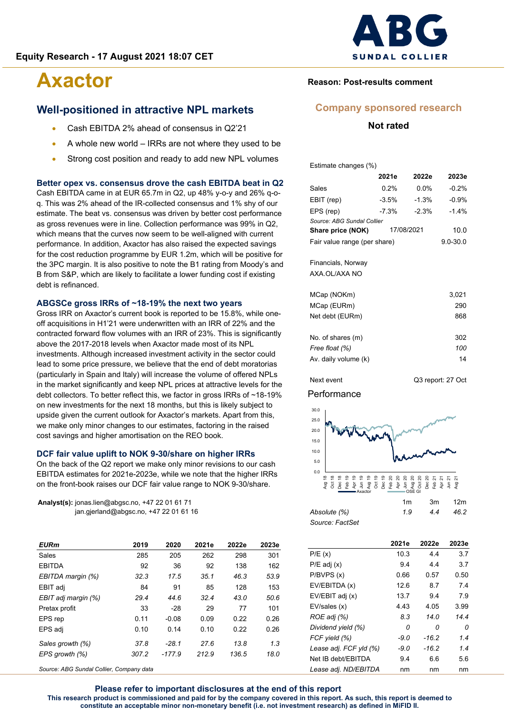### **Well-positioned in attractive NPL markets**

- Cash EBITDA 2% ahead of consensus in Q2'21
- A whole new world IRRs are not where they used to be
- Strong cost position and ready to add new NPL volumes

#### **Better opex vs. consensus drove the cash EBITDA beat in Q2**

Cash EBITDA came in at EUR 65.7m in Q2, up 48% y-o-y and 26% q-oq. This was 2% ahead of the IR-collected consensus and 1% shy of our estimate. The beat vs. consensus was driven by better cost performance as gross revenues were in line. Collection performance was 99% in Q2, which means that the curves now seem to be well-aligned with current performance. In addition, Axactor has also raised the expected savings for the cost reduction programme by EUR 1.2m, which will be positive for the 3PC margin. It is also positive to note the B1 rating from Moody's and B from S&P, which are likely to facilitate a lower funding cost if existing debt is refinanced.

#### **ABGSCe gross IRRs of ~18-19% the next two years**

Gross IRR on Axactor's current book is reported to be 15.8%, while oneoff acquisitions in H1'21 were underwritten with an IRR of 22% and the contracted forward flow volumes with an IRR of 23%. This is significantly above the 2017-2018 levels when Axactor made most of its NPL investments. Although increased investment activity in the sector could lead to some price pressure, we believe that the end of debt moratorias (particularly in Spain and Italy) will increase the volume of offered NPLs in the market significantly and keep NPL prices at attractive levels for the debt collectors. To better reflect this, we factor in gross IRRs of ~18-19% on new investments for the next 18 months, but this is likely subject to upside given the current outlook for Axactor's markets. Apart from this, we make only minor changes to our estimates, factoring in the raised cost savings and higher amortisation on the REO book.

#### **DCF fair value uplift to NOK 9-30/share on higher IRRs**

On the back of the Q2 report we make only minor revisions to our cash EBITDA estimates for 2021e-2023e, while we note that the higher IRRs on the front-book raises our DCF fair value range to NOK 9-30/share.

**Analyst(s):** jonas.lien@abgsc.no, +47 22 01 61 71 jan.gjerland@abgsc.no, +47 22 01 61 16

| <b>EURm</b>         | 2019  | 2020     | 2021e | 2022e | 2023e |
|---------------------|-------|----------|-------|-------|-------|
| Sales               | 285   | 205      | 262   | 298   | 301   |
| <b>EBITDA</b>       | 92    | 36       | 92    | 138   | 162   |
| EBITDA margin (%)   | 32.3  | 17.5     | 35.1  | 46.3  | 53.9  |
| EBIT adj            | 84    | 91       | 85    | 128   | 153   |
| EBIT adj margin (%) | 29.4  | 44.6     | 32.4  | 43.0  | 50.6  |
| Pretax profit       | 33    | $-28$    | 29    | 77    | 101   |
| EPS rep             | 0.11  | $-0.08$  | 0.09  | 0.22  | 0.26  |
| EPS adj             | 0.10  | 0.14     | 0.10  | 0.22  | 0.26  |
| Sales growth (%)    | 37.8  | $-28.1$  | 27.6  | 13.8  | 1.3   |
| EPS growth (%)      | 307.2 | $-177.9$ | 212.9 | 136.5 | 18.0  |
|                     |       |          |       |       |       |

*Source: ABG Sundal Collier, Company data*



#### **Reason: Post-results comment**

#### **Company sponsored research**

**Not rated**

Estimate changes (%)

|                              | 2021e      | 2022e   | 2023e        |
|------------------------------|------------|---------|--------------|
| Sales                        | 0.2%       | $0.0\%$ | $-0.2%$      |
| EBIT (rep)                   | $-3.5%$    | $-1.3%$ | $-0.9%$      |
| EPS (rep)                    | $-7.3%$    | $-2.3%$ | $-1.4%$      |
| Source: ABG Sundal Collier   |            |         |              |
| Share price (NOK)            | 17/08/2021 | 10.0    |              |
| Fair value range (per share) |            |         | $9.0 - 30.0$ |
|                              |            |         |              |
| Financials, Norway           |            |         |              |
| AXA OI /AXA NO               |            |         |              |

| MCap (NOKm)          | 3,021 |
|----------------------|-------|
| MCap (EURm)          | 290   |
| Net debt (EURm)      | 868   |
|                      |       |
| No. of shares (m)    | 302   |
| Free float (%)       | 100   |
| Av. daily volume (k) | 14    |
|                      |       |

Next event Q3 report: 27 Oct

#### **Performance**



|                 | .  | ---- | ------ |
|-----------------|----|------|--------|
| Absolute (%)    | 19 | 44   | 46.2   |
| Source: FactSet |    |      |        |

|                        | 2021e  | 2022e   | 2023e |
|------------------------|--------|---------|-------|
| P/E(x)                 | 10.3   | 4.4     | 3.7   |
| $P/E$ adj $(x)$        | 9.4    | 44      | 3.7   |
| P/BVPS (x)             | 0.66   | 0.57    | 0.50  |
| EV/EBITDA (x)          | 12.6   | 87      | 7.4   |
| EV/EBIT adj (x)        | 13.7   | 9.4     | 7.9   |
| EV/sales (x)           | 4.43   | 4.05    | 3.99  |
| ROE adj (%)            | 8.3    | 14.0    | 14.4  |
| Dividend yield (%)     | 0      | n       | 0     |
| FCF yield (%)          | $-9.0$ | -16.2   | 1.4   |
| Lease adj. FCF yld (%) | $-9.0$ | $-16.2$ | 1.4   |
| Net IB debt/EBITDA     | 9.4    | 6.6     | 5.6   |
| Lease adj. ND/EBITDA   | nm     | nm      | nm    |

**Please refer to important disclosures at the end of this report This research product is commissioned and paid for by the company covered in this report. As such, this report is deemed to constitute an acceptable minor non-monetary benefit (i.e. not investment research) as defined in MiFID II.**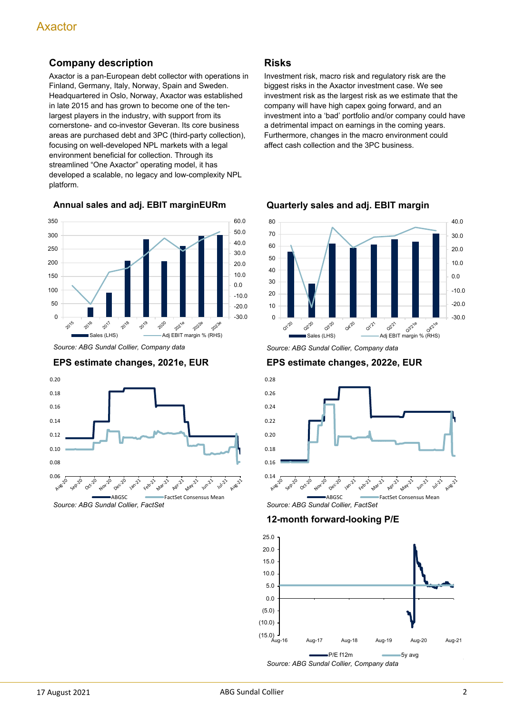## **Company description**

Axactor is a pan-European debt collector with operations in Finland, Germany, Italy, Norway, Spain and Sweden. Headquartered in Oslo, Norway, Axactor was established in late 2015 and has grown to become one of the tenlargest players in the industry, with support from its cornerstone- and co-investor Geveran. Its core business areas are purchased debt and 3PC (third-party collection), focusing on well-developed NPL markets with a legal environment beneficial for collection. Through its streamlined "One Axactor" operating model, it has developed a scalable, no legacy and low-complexity NPL platform.

**Annual sales and adj. EBIT marginEURm**



*Source: ABG Sundal Collier, Company data*

#### **EPS estimate changes, 2021e, EUR**



#### **Risks**

Investment risk, macro risk and regulatory risk are the biggest risks in the Axactor investment case. We see investment risk as the largest risk as we estimate that the company will have high capex going forward, and an investment into a 'bad' portfolio and/or company could have a detrimental impact on earnings in the coming years. Furthermore, changes in the macro environment could affect cash collection and the 3PC business.



**Quarterly sales and adj. EBIT margin**

*Source: ABG Sundal Collier, Company data*

#### **EPS estimate changes, 2022e, EUR**



**12-month forward-looking P/E**

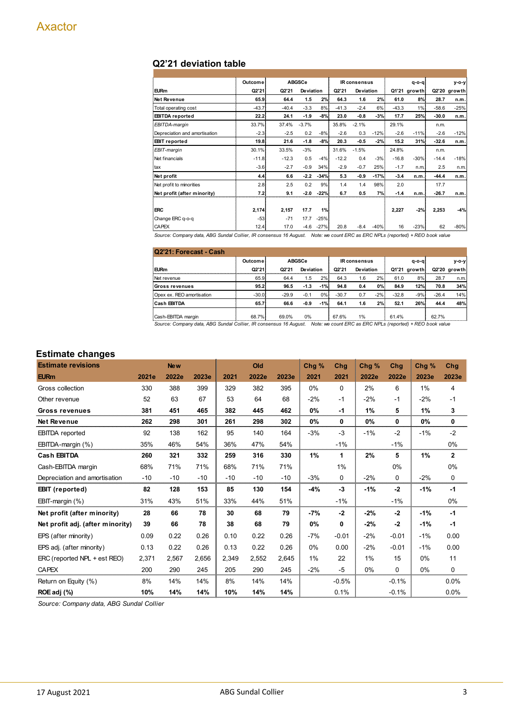#### **Q2'21 deviation table**

|                               | Outcome |         | <b>ABGSCe</b> |        |         | <b>IR consensus</b> |        |         | $q - o - q$  |         | y-o-y        |
|-------------------------------|---------|---------|---------------|--------|---------|---------------------|--------|---------|--------------|---------|--------------|
| <b>EURm</b>                   | Q2'21   | Q2'21   | Deviation     |        | Q2'21   | <b>Deviation</b>    |        |         | Q1'21 growth |         | Q2'20 growth |
| Net Revenue                   | 65.9    | 64.4    | 1.5           | 2%     | 64.3    | 1.6                 | 2%     | 61.0    | 8%           | 28.7    | n.m.         |
| Total operating cost          | $-43.7$ | $-40.4$ | $-3.3$        | 8%     | $-41.3$ | $-2.4$              | 6%     | $-43.3$ | $1\%$        | $-58.6$ | $-25%$       |
| <b>EBITDA</b> reported        | 22.2    | 24.1    | $-1.9$        | $-8%$  | 23.0    | $-0.8$              | -3%    | 17.7    | 25%          | $-30.0$ | n.m.         |
| EBITDA-margin                 | 33.7%   | 37.4%   | $-3.7%$       |        | 35.8%   | $-2.1%$             |        | 29.1%   |              | n.m.    |              |
| Depreciation and amortisation | $-2.3$  | $-2.5$  | 0.2           | $-8%$  | $-2.6$  | 0.3                 | $-12%$ | $-2.6$  | $-11%$       | $-2.6$  | $-12%$       |
| <b>EBIT</b> reported          | 19.8    | 21.6    | $-1.8$        | $-8%$  | 20.3    | $-0.5$              | -2%    | 15.2    | 31%          | $-32.6$ | n.m.         |
| EBIT-margin                   | 30.1%   | 33.5%   | $-3%$         |        | 31.6%   | $-1.5%$             |        | 24.8%   |              | n.m.    |              |
| Net financials                | $-11.8$ | $-12.3$ | 0.5           | $-4%$  | $-12.2$ | 0.4                 | $-3%$  | $-16.8$ | $-30%$       | $-14.4$ | $-18%$       |
| tax                           | $-3.6$  | $-2.7$  | $-0.9$        | 34%    | $-2.9$  | $-0.7$              | 25%    | $-1.7$  | n.m.         | 2.5     | n.m.         |
| Net profit                    | 4.4     | 6.6     | $-2.2$        | $-34%$ | 5.3     | $-0.9$              | $-17%$ | $-3.4$  | n.m.         | $-44.4$ | n.m.         |
| Net profit to minorities      | 2.8     | 2.5     | 0.2           | 9%     | 1.4     | 1.4                 | 98%    | 2.0     |              | 17.7    |              |
| Net profit (after minority)   | 7.2     | 9.1     | $-2.0$        | $-22%$ | 6.7     | 0.5                 | 7%     | $-1.4$  | n.m.         | $-26.7$ | n.m.         |
|                               |         |         |               |        |         |                     |        |         |              |         |              |
| <b>ERC</b>                    | 2,174   | 2,157   | 17.7          | 1%     |         |                     |        | 2,227   | $-2%$        | 2,253   | $-4%$        |
| Change ERC q-o-q              | $-53$   | $-71$   | 17.7          | $-25%$ |         |                     |        |         |              |         |              |
| <b>CAPEX</b>                  | 12.4    | 17.0    | $-4.6$        | $-27%$ | 20.8    | $-8.4$              | $-40%$ | 16      | $-23%$       | 62      | $-80%$       |

Source: Company data, ABG Sundal Collier, IR consensus 16 August. Note: we count ERC as ERC NPLs (reported) + REO book value

| Q2'21: Forecast - Cash    |         |         |                  |       |                     |           |       |             |              |         |                |
|---------------------------|---------|---------|------------------|-------|---------------------|-----------|-------|-------------|--------------|---------|----------------|
|                           | Outcome |         | <b>ABGSCe</b>    |       | <b>IR consensus</b> |           |       | $q - o - q$ |              | $V-O-V$ |                |
| <b>EURm</b>               | Q2'21   | Q2'21   | <b>Deviation</b> |       | Q2'21               | Deviation |       |             | Q1'21 growth |         | $Q2'20$ growth |
| Net revenue               | 65.9    | 64.4    | 1.5              | 2%    | 64.3                | 1.6       | 2%    | 61.0        | 8%           | 28.7    | n.m.           |
| Gross revenues            | 95.2    | 96.5    | $-1.3$           | $-1%$ | 94.8                | 0.4       | 0%    | 84.9        | 12%          | 70.8    | 34%            |
| Opex ex. REO amortisation | $-30.0$ | $-29.9$ | $-0.1$           | 0%    | $-30.7$             | 0.7       | $-2%$ | $-32.8$     | $-9%$        | $-26.4$ | 14%            |
| Cash EBITDA               | 65.7    | 66.6    | $-0.9$           | $-1%$ | 64.1                | 1.6       | 2%    | 52.1        | 26%          | 44.4    | 48%            |
| Cash-EBITDA margin        | 68.7%   | 69.0%   | 0%               |       | 67.6%               | 1%        |       | 61.4%       |              | 62.7%   |                |

Source: Company data, ABG Sundal Collier, IR consensus 16 August. Note: we count ERC as ERC NPLs (reported) + REO book value

#### **Estimate changes**

| <b>Estimate revisions</b>        |       | <b>New</b> |       |       | Old   |       | Chg % | Chg      | Chg % | Chg         | Chg%  | Chg          |
|----------------------------------|-------|------------|-------|-------|-------|-------|-------|----------|-------|-------------|-------|--------------|
| <b>EURm</b>                      | 2021e | 2022e      | 2023e | 2021  | 2022e | 2023e | 2021  | 2021     | 2022e | 2022e       | 2023e | 2023e        |
| Gross collection                 | 330   | 388        | 399   | 329   | 382   | 395   | 0%    | $\Omega$ | 2%    | 6           | 1%    | 4            |
| Other revenue                    | 52    | 63         | 67    | 53    | 64    | 68    | $-2%$ | $-1$     | $-2%$ | $-1$        | $-2%$ | $-1$         |
| Gross revenues                   | 381   | 451        | 465   | 382   | 445   | 462   | 0%    | $-1$     | 1%    | 5           | 1%    | 3            |
| Net Revenue                      | 262   | 298        | 301   | 261   | 298   | 302   | 0%    | 0        | 0%    | $\mathbf 0$ | 0%    | 0            |
| <b>EBITDA</b> reported           | 92    | 138        | 162   | 95    | 140   | 164   | $-3%$ | $-3$     | $-1%$ | $-2$        | $-1%$ | $-2$         |
| EBITDA-margin (%)                | 35%   | 46%        | 54%   | 36%   | 47%   | 54%   |       | $-1%$    |       | $-1%$       |       | 0%           |
| <b>Cash EBITDA</b>               | 260   | 321        | 332   | 259   | 316   | 330   | 1%    | 1.       | 2%    | 5           | 1%    | $\mathbf{2}$ |
| Cash-EBITDA margin               | 68%   | 71%        | 71%   | 68%   | 71%   | 71%   |       | 1%       |       | 0%          |       | 0%           |
| Depreciation and amortisation    | $-10$ | $-10$      | $-10$ | $-10$ | $-10$ | $-10$ | $-3%$ | $\Omega$ | $-2%$ | $\Omega$    | $-2%$ | 0            |
| <b>EBIT</b> (reported)           | 82    | 128        | 153   | 85    | 130   | 154   | -4%   | $-3$     | $-1%$ | $-2$        | $-1%$ | -1           |
| EBIT-margin (%)                  | 31%   | 43%        | 51%   | 33%   | 44%   | 51%   |       | $-1%$    |       | $-1\%$      |       | 0%           |
| Net profit (after minority)      | 28    | 66         | 78    | 30    | 68    | 79    | -7%   | $-2$     | $-2%$ | $-2$        | $-1%$ | $-1$         |
| Net profit adj. (after minority) | 39    | 66         | 78    | 38    | 68    | 79    | 0%    | 0        | $-2%$ | $-2$        | $-1%$ | $-1$         |
| EPS (after minority)             | 0.09  | 0.22       | 0.26  | 0.10  | 0.22  | 0.26  | $-7%$ | $-0.01$  | $-2%$ | $-0.01$     | $-1%$ | 0.00         |
| EPS adj. (after minority)        | 0.13  | 0.22       | 0.26  | 0.13  | 0.22  | 0.26  | 0%    | 0.00     | $-2%$ | $-0.01$     | $-1%$ | 0.00         |
| ERC (reported NPL + est REO)     | 2,371 | 2,567      | 2,656 | 2,349 | 2,552 | 2,645 | 1%    | 22       | 1%    | 15          | $0\%$ | 11           |
| <b>CAPEX</b>                     | 200   | 290        | 245   | 205   | 290   | 245   | $-2%$ | $-5$     | 0%    | $\Omega$    | 0%    | 0            |
| Return on Equity (%)             | 8%    | 14%        | 14%   | 8%    | 14%   | 14%   |       | $-0.5%$  |       | $-0.1%$     |       | 0.0%         |
| ROE adj (%)                      | 10%   | 14%        | 14%   | 10%   | 14%   | 14%   |       | 0.1%     |       | $-0.1%$     |       | 0.0%         |

*Source: Company data, ABG Sundal Collier*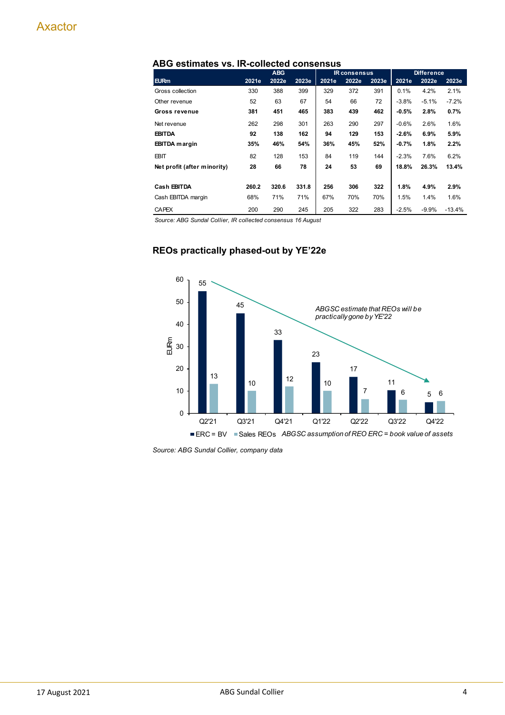|                             |       | <b>ABG</b> |       |       | <b>IR consensus</b> |       |         | <b>Difference</b> |          |
|-----------------------------|-------|------------|-------|-------|---------------------|-------|---------|-------------------|----------|
| <b>EURm</b>                 | 2021e | 2022e      | 2023e | 2021e | 2022e               | 2023e | 2021e   | 2022e             | 2023e    |
| Gross collection            | 330   | 388        | 399   | 329   | 372                 | 391   | 0.1%    | 4.2%              | 2.1%     |
| Other revenue               | 52    | 63         | 67    | 54    | 66                  | 72    | $-3.8%$ | $-5.1%$           | $-7.2%$  |
| Gross revenue               | 381   | 451        | 465   | 383   | 439                 | 462   | $-0.5%$ | 2.8%              | 0.7%     |
| Net revenue                 | 262   | 298        | 301   | 263   | 290                 | 297   | $-0.6%$ | 2.6%              | 1.6%     |
| <b>EBITDA</b>               | 92    | 138        | 162   | 94    | 129                 | 153   | $-2.6%$ | 6.9%              | 5.9%     |
| <b>EBITDA</b> margin        | 35%   | 46%        | 54%   | 36%   | 45%                 | 52%   | $-0.7%$ | 1.8%              | 2.2%     |
| EBIT                        | 82    | 128        | 153   | 84    | 119                 | 144   | $-2.3%$ | 7.6%              | 6.2%     |
| Net profit (after minority) | 28    | 66         | 78    | 24    | 53                  | 69    | 18.8%   | 26.3%             | 13.4%    |
|                             |       |            |       |       |                     |       |         |                   |          |
| Cash EBITDA                 | 260.2 | 320.6      | 331.8 | 256   | 306                 | 322   | 1.8%    | 4.9%              | 2.9%     |
| Cash EBITDA margin          | 68%   | 71%        | 71%   | 67%   | 70%                 | 70%   | 1.5%    | 1.4%              | 1.6%     |
| <b>CAPEX</b>                | 200   | 290        | 245   | 205   | 322                 | 283   | $-2.5%$ | $-9.9%$           | $-13.4%$ |

#### **ABG estimates vs. IR-collected consensus**

*Source: ABG Sundal Collier, IR collected consensus 16 August*

#### **REOs practically phased-out by YE'22e**



*Source: ABG Sundal Collier, company data*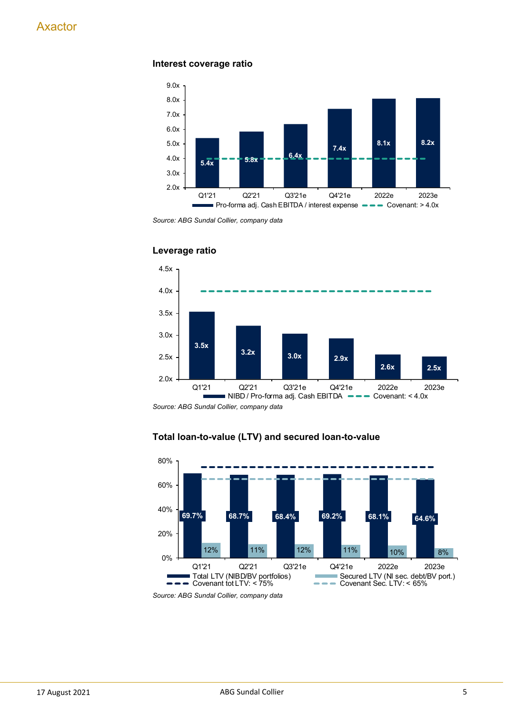#### **Interest coverage ratio**



*Source: ABG Sundal Collier, company data*



#### **Leverage ratio**

*Source: ABG Sundal Collier, company data*



### **Total loan-to-value (LTV) and secured loan-to-value**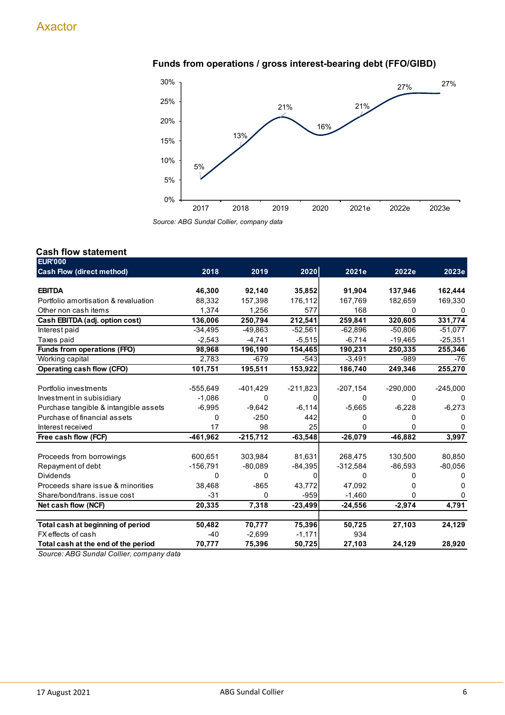## **Funds from operations / gross interest-bearing debt (FFO/GIBD)**



*Source: ABG Sundal Collier, company data*

#### **Cash flow statement**

| <b>EUR'000</b>                        |            |            |            |            |            |            |
|---------------------------------------|------------|------------|------------|------------|------------|------------|
| <b>Cash Flow (direct method)</b>      | 2018       | 2019       | 2020       | 2021e      | 2022e      | 2023e      |
|                                       |            |            |            |            |            |            |
| <b>EBITDA</b>                         | 46,300     | 92,140     | 35,852     | 91,904     | 137,946    | 162,444    |
| Portfolio amortisation & revaluation  | 88,332     | 157,398    | 176,112    | 167,769    | 182,659    | 169,330    |
| Other non cash items                  | 1,374      | 1.256      | 577        | 168        | 0          | $\Omega$   |
| Cash EBITDA (adj. option cost)        | 136,006    | 250,794    | 212,541    | 259,841    | 320,605    | 331,774    |
| Interest paid                         | $-34,495$  | -49,863    | $-52,561$  | $-62,896$  | $-50.806$  | $-51,077$  |
| Taxes paid                            | $-2,543$   | $-4,741$   | $-5,515$   | $-6,714$   | $-19,465$  | $-25,351$  |
| Funds from operations (FFO)           | 98,968     | 196,190    | 154,465    | 190,231    | 250,335    | 255,346    |
| Working capital                       | 2,783      | $-679$     | $-543$     | $-3,491$   | $-989$     | -76        |
| Operating cash flow (CFO)             | 101,751    | 195,511    | 153,922    | 186,740    | 249,346    | 255,270    |
|                                       |            |            |            |            |            |            |
| Portfolio investments                 | $-555,649$ | $-401,429$ | $-211,823$ | $-207,154$ | $-290,000$ | $-245,000$ |
| Investment in subisidiary             | $-1.086$   | 0          | 0          | 0          | 0          | 0          |
| Purchase tangible & intangible assets | $-6,995$   | $-9,642$   | $-6,114$   | $-5,665$   | $-6,228$   | $-6,273$   |
| Purchase of financial assets          | 0          | $-250$     | 442        | 0          | 0          |            |
| Interest received                     | 17         | 98         | 25         | 0          | 0          | 0          |
| Free cash flow (FCF)                  | -461,962   | $-215,712$ | $-63,548$  | $-26,079$  | $-46,882$  | 3,997      |
|                                       |            |            |            |            |            |            |
| Proceeds from borrowings              | 600,651    | 303,984    | 81,631     | 268,475    | 130,500    | 80,850     |
| Repayment of debt                     | $-156,791$ | $-80,089$  | $-84,395$  | $-312,584$ | $-86,593$  | $-80,056$  |
| <b>Dividends</b>                      | 0          | 0          | 0          | 0          | 0          | 0          |
| Proceeds share issue & minorities     | 38.468     | $-865$     | 43,772     | 47,092     | O          | 0          |
| Share/bond/trans. issue cost          | -31        | $\Omega$   | $-959$     | $-1,460$   | 0          | 0          |
| Net cash flow (NCF)                   | 20,335     | 7,318      | $-23,499$  | $-24,556$  | $-2,974$   | 4,791      |
|                                       |            |            |            |            |            |            |
| Total cash at beginning of period     | 50,482     | 70,777     | 75,396     | 50,725     | 27,103     | 24,129     |
| FX effects of cash                    | -40        | $-2,699$   | $-1,171$   | 934        |            |            |
| Total cash at the end of the period   | 70,777     | 75,396     | 50,725     | 27,103     | 24,129     | 28,920     |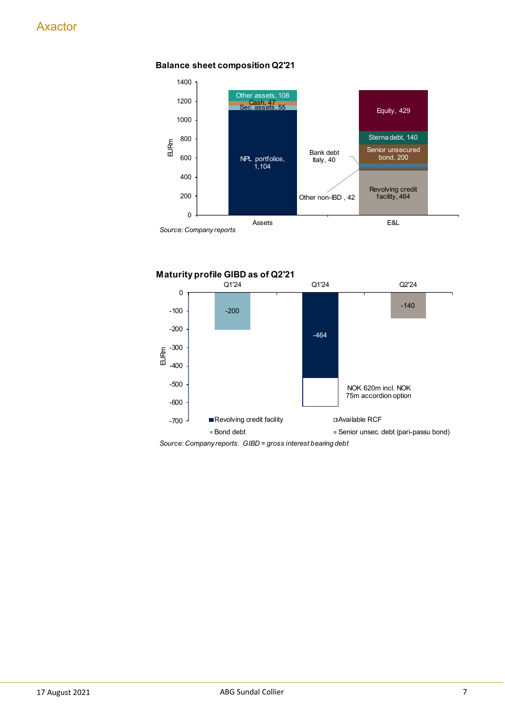

#### **Balance sheet composition Q2'21**



*Source: Company reports. GIBD = gross interest bearing debt*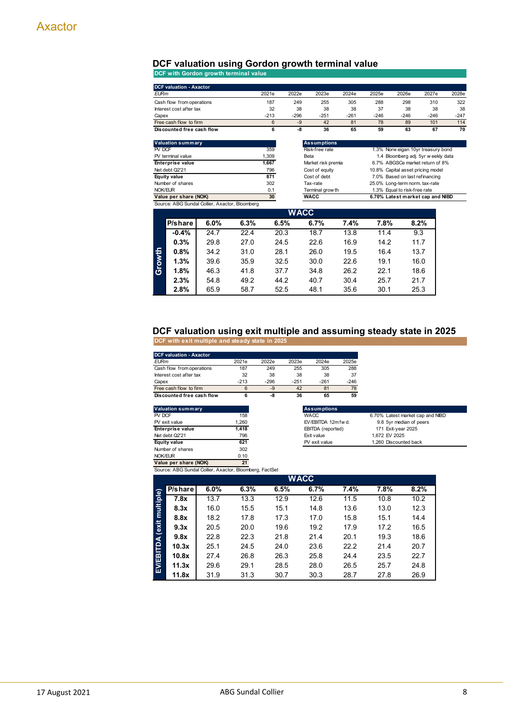#### **DCF valuation using Gordon growth terminal value**

**DCF with Gordon growth terminal value**

|             | <b>DCF valuation - Axactor</b> |                                                |      |       |             |                    |                                                       |                                     |                                |                                  |        |  |
|-------------|--------------------------------|------------------------------------------------|------|-------|-------------|--------------------|-------------------------------------------------------|-------------------------------------|--------------------------------|----------------------------------|--------|--|
| <b>EURm</b> |                                |                                                |      | 2021e | 2022e       | 2023e              | 2024e                                                 | 2025e                               | 2026e                          | 2027e                            | 2028e  |  |
|             | Cash flow from operations      |                                                |      | 187   | 249         | 255                | 305                                                   | 288                                 | 298                            | 310                              | 322    |  |
|             | Interest cost after tax        |                                                |      | 32    | 38          | 38                 | 38                                                    | 37                                  | 38                             | 38                               | 38     |  |
| Capex       | $-213$                         |                                                |      |       | $-296$      | $-251$             | $-261$                                                | $-246$                              | $-246$                         | $-246$                           | $-247$ |  |
|             | Free cash flow to firm         |                                                |      | 6     | $-9$        | 42                 | 81                                                    | 78                                  | 89                             | 101                              | 114    |  |
|             | Discounted free cash flow      |                                                |      | 6     | -8          | 36                 | 65                                                    | 59                                  | 63                             | 67                               | 70     |  |
|             | <b>Valuation summary</b>       |                                                |      |       |             | <b>Assumptions</b> |                                                       |                                     |                                |                                  |        |  |
| PV DCF      |                                | 359                                            |      |       |             | Risk-free rate     |                                                       | 1.3% Norw eigan 10yr treasury bond  |                                |                                  |        |  |
|             | PV terminal value              |                                                |      | 1,309 |             | Beta               |                                                       | 1.4 Bloomberg adj. 5yr w eekly data |                                |                                  |        |  |
|             | Enterprise value               |                                                |      | 1,667 |             |                    | 6.7% ABGSCe market return of 8%<br>Market risk premia |                                     |                                |                                  |        |  |
|             | Net debt Q2'21                 |                                                |      | 796   |             | Cost of equity     |                                                       | 10.8% Capital asset pricing model   |                                |                                  |        |  |
|             | <b>Equity value</b>            |                                                |      | 871   |             | Cost of debt       |                                                       | 7.0% Based on last refinancing      |                                |                                  |        |  |
|             | Number of shares               |                                                |      | 302   |             | Tax-rate           |                                                       |                                     | 25.0% Long-term norm. tax-rate |                                  |        |  |
| NOK/EUR     | 0.1                            |                                                |      |       |             | Terminal grow th   |                                                       |                                     | 1.3% Equal to risk-free rate   |                                  |        |  |
|             | Value per share (NOK)          | Source: ABG Sundal Collier, Axactor, Bloomberg |      | 30    |             | <b>WACC</b>        |                                                       |                                     |                                | 6.70% Latest market cap and NIBD |        |  |
|             |                                |                                                |      |       | <b>WACC</b> |                    |                                                       |                                     |                                |                                  |        |  |
|             | P/share                        | 6.0%                                           | 6.3% | 6.5%  |             | 6.7%               | 7.4%                                                  | 7.8%                                |                                | 8.2%                             |        |  |
|             | $-0.4%$                        | 24.7                                           | 22.4 | 20.3  |             | 18.7               | 13.8                                                  | 11.4                                |                                | 9.3                              |        |  |
|             | 0.3%                           | 29.8                                           | 27.0 | 24.5  |             | 22.6               | 16.9                                                  | 14.2                                |                                | 11.7                             |        |  |
|             | 0.8%                           | 34.2                                           | 31.0 | 28.1  |             | 26.0               | 19.5                                                  | 16.4                                |                                | 13.7                             |        |  |
|             | 1.3%                           | 39.6                                           | 35.9 | 32.5  |             | 30.0               | 22.6                                                  | 19.1                                |                                | 16.0                             |        |  |

#### **DCF valuation using exit multiple and assuming steady state in 2025**

**1.8%** 46.3 41.8 37.7 34.8 26.2 22.1 18.6 **2.3%** 54.8 49.2 44.2 40.7 30.4 25.7 21.7 **2.8%** 65.9 58.7 52.5 48.1 35.6 30.1 25.3

**DCF with exit multiple and steady state in 2025**

| <b>DCF valuation - Axactor</b> |        |        |        |        |        |
|--------------------------------|--------|--------|--------|--------|--------|
| <b>EURm</b>                    | 2021e  | 2022e  | 2023e  | 2024e  | 2025e  |
| Cash flow from operations      | 187    | 249    | 255    | 305    | 288    |
| Interest cost after tax        | 32     | 38     | 38     | 38     | 37     |
| Capex                          | $-213$ | $-296$ | $-251$ | $-261$ | $-246$ |
| Free cash flow to firm         | 6      | -9     | 42     | 81     | 78     |
| Discounted free cash flow      |        | -8     | 36     | 65     | 59     |

| <b>Valuation summary</b> |       | <b>Assumptions</b>     |
|--------------------------|-------|------------------------|
| PV DCF                   | 158   | <b>WACC</b>            |
| PV exit value            | 1.260 | EV/EBITDA 12m          |
| <b>Enterprise value</b>  | 1.418 | <b>EBITDA</b> (reporte |
| Net debt Q2'21           | 796   | Exit value             |
| <b>Equity value</b>      | 621   | PV exit value          |
| Number of shares         | 302   |                        |
| NOK/EUR                  | 0.10  |                        |
|                          |       |                        |

**Gro**

| <b>Valuation summary</b> |       | <b>Assumptions</b>  |                                  |
|--------------------------|-------|---------------------|----------------------------------|
| PV DCF                   | 158   | <b>WACC</b>         | 6.70% Latest market cap and NIBD |
| PV exit value            | 1.260 | EV/EBITDA 12m fw d. | 9.8 5yr median of peers          |
| <b>Enterprise value</b>  | 1.418 | EBITDA (reported)   | 171 Exit-year 2025               |
| Net debt Q2'21           | 796   | Exit value          | 1.672 EV 2025                    |
| Equity value             | 621   | PV exit value       | 1.260 Discounted back            |
| Number of charge         | ふいつ   |                     |                                  |

NOK/EUR 0.10 **Value per share (NOK) 21**

Source: ABG Sundal Collier, Axactor, Bloomberg, FactSet

|                 | <b>WACC</b> |      |      |      |      |      |      |      |  |  |  |  |  |
|-----------------|-------------|------|------|------|------|------|------|------|--|--|--|--|--|
|                 | P/share     | 6.0% | 6.3% | 6.5% | 6.7% | 7.4% | 7.8% | 8.2% |  |  |  |  |  |
| multiple)       | 7.8x        | 13.7 | 13.3 | 12.9 | 12.6 | 11.5 | 10.8 | 10.2 |  |  |  |  |  |
|                 | 8.3x        | 16.0 | 15.5 | 15.1 | 14.8 | 13.6 | 13.0 | 12.3 |  |  |  |  |  |
|                 | 8.8x        | 18.2 | 17.8 | 17.3 | 17.0 | 15.8 | 15.1 | 14.4 |  |  |  |  |  |
|                 | 9.3x        | 20.5 | 20.0 | 19.6 | 19.2 | 17.9 | 17.2 | 16.5 |  |  |  |  |  |
|                 | 9.8x        | 22.8 | 22.3 | 21.8 | 21.4 | 20.1 | 19.3 | 18.6 |  |  |  |  |  |
|                 | 10.3x       | 25.1 | 24.5 | 24.0 | 23.6 | 22.2 | 21.4 | 20.7 |  |  |  |  |  |
|                 | 10.8x       | 27.4 | 26.8 | 26.3 | 25.8 | 24.4 | 23.5 | 22.7 |  |  |  |  |  |
| EV/EBITDA (exit | 11.3x       | 29.6 | 29.1 | 28.5 | 28.0 | 26.5 | 25.7 | 24.8 |  |  |  |  |  |
|                 | 11.8x       | 31.9 | 31.3 | 30.7 | 30.3 | 28.7 | 27.8 | 26.9 |  |  |  |  |  |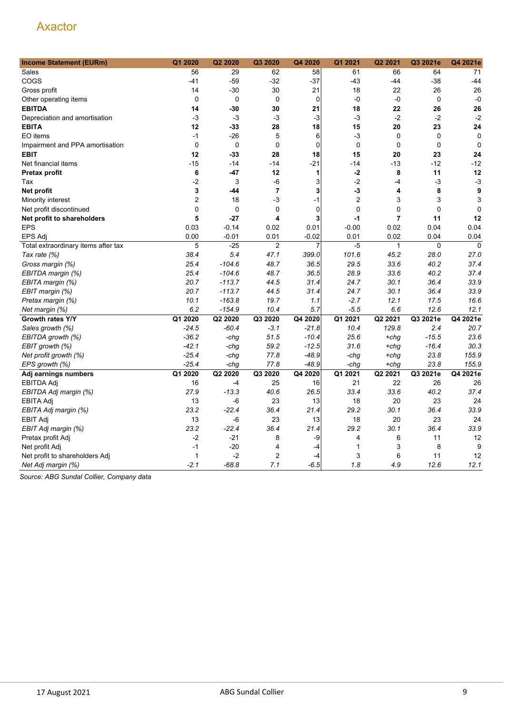| <b>Income Statement (EURm)</b>      | Q1 2020        | Q2 2020     | Q3 2020        | Q4 2020     | Q1 2021          | Q2 2021        | Q3 2021e    | Q4 2021e    |
|-------------------------------------|----------------|-------------|----------------|-------------|------------------|----------------|-------------|-------------|
| Sales                               | 56             | 29          | 62             | 58          | 61               | 66             | 64          | 71          |
| COGS                                | $-41$          | $-59$       | $-32$          | $-37$       | $-43$            | -44            | $-38$       | $-44$       |
| Gross profit                        | 14             | $-30$       | 30             | 21          | 18               | 22             | 26          | 26          |
| Other operating items               | $\mathbf 0$    | $\mathbf 0$ | $\mathbf 0$    | $\mathbf 0$ | $-0$             | -0             | $\mathbf 0$ | $-0$        |
| <b>EBITDA</b>                       | 14             | -30         | 30             | 21          | 18               | 22             | 26          | 26          |
| Depreciation and amortisation       | $-3$           | -3          | $-3$           | $-3$        | $-3$             | $-2$           | $-2$        | $-2$        |
| <b>EBITA</b>                        | 12             | $-33$       | 28             | 18          | 15               | 20             | 23          | 24          |
| EO items                            | $-1$           | -26         | 5              | 6           | $-3$             | 0              | 0           | $\mathbf 0$ |
| Impairment and PPA amortisation     | $\mathbf 0$    | $\mathbf 0$ | $\mathbf 0$    | $\mathbf 0$ | $\mathbf 0$      | $\mathbf 0$    | $\mathbf 0$ | $\mathbf 0$ |
| <b>EBIT</b>                         | 12             | -33         | 28             | 18          | 15               | 20             | 23          | 24          |
| Net financial items                 | $-15$          | $-14$       | $-14$          | $-21$       | $-14$            | $-13$          | $-12$       | $-12$       |
| Pretax profit                       | 6              | -47         | 12             | 1           | $-2$             | 8              | 11          | 12          |
| Tax                                 | $-2$           | 3           | -6             | 3           | $-2$             | $-4$           | $-3$        | $-3$        |
| Net profit                          | 3              | -44         | $\overline{7}$ | 3           | $-3$             | 4              | 8           | 9           |
| Minority interest                   | $\overline{2}$ | 18          | -3             | $-1$        | $\boldsymbol{2}$ | 3              | 3           | 3           |
| Net profit discontinued             | 0              | $\mathbf 0$ | 0              | 0           | 0                | 0              | $\mathbf 0$ | $\mathbf 0$ |
| Net profit to shareholders          | 5              | $-27$       | 4              | 3           | $-1$             | $\overline{7}$ | 11          | 12          |
| <b>EPS</b>                          | 0.03           | $-0.14$     | 0.02           | 0.01        | $-0.00$          | 0.02           | 0.04        | 0.04        |
| <b>EPS Adj</b>                      | 0.00           | $-0.01$     | 0.01           | $-0.02$     | 0.01             | 0.02           | 0.04        | 0.04        |
| Total extraordinary items after tax | 5              | $-25$       | $\overline{2}$ | 7           | $-5$             | $\mathbf{1}$   | $\mathbf 0$ | $\mathbf 0$ |
| Tax rate (%)                        | 38.4           | 5.4         | 47.1           | 399.0       | 101.6            | 45.2           | 28.0        | 27.0        |
| Gross margin (%)                    | 25.4           | $-104.6$    | 48.7           | 36.5        | 29.5             | 33.6           | 40.2        | 37.4        |
| EBITDA margin (%)                   | 25.4           | $-104.6$    | 48.7           | 36.5        | 28.9             | 33.6           | 40.2        | 37.4        |
| EBITA margin (%)                    | 20.7           | $-113.7$    | 44.5           | 31.4        | 24.7             | 30.1           | 36.4        | 33.9        |
| EBIT margin (%)                     | 20.7           | $-113.7$    | 44.5           | 31.4        | 24.7             | 30.1           | 36.4        | 33.9        |
| Pretax margin (%)                   | 10.1           | $-163.8$    | 19.7           | 1.1         | $-2.7$           | 12.1           | 17.5        | 16.6        |
| Net margin (%)                      | 6.2            | $-154.9$    | 10.4           | 5.7         | $-5.5$           | 6.6            | 12.6        | 12.1        |
| Growth rates Y/Y                    | Q1 2020        | Q2 2020     | Q3 2020        | Q4 2020     | Q1 2021          | Q2 2021        | Q3 2021e    | Q4 2021e    |
| Sales growth (%)                    | $-24.5$        | $-60.4$     | $-3.1$         | $-21.8$     | 10.4             | 129.8          | 2.4         | 20.7        |
| EBITDA growth (%)                   | $-36.2$        | -chg        | 51.5           | $-10.4$     | 25.6             | $+chg$         | $-15.5$     | 23.6        |
| EBIT growth (%)                     | $-42.1$        | $-chq$      | 59.2           | $-12.5$     | 31.6             | $+chg$         | $-16.4$     | 30.3        |
| Net profit growth (%)               | $-25.4$        | -chg        | 77.8           | $-48.9$     | -chg             | $+chq$         | 23.8        | 155.9       |
| EPS growth (%)                      | $-25.4$        | -chg        | 77.8           | $-48.9$     | -chg             | $+chq$         | 23.8        | 155.9       |
| Adj earnings numbers                | Q1 2020        | Q2 2020     | Q3 2020        | Q4 2020     | Q1 2021          | Q2 2021        | Q3 2021e    | Q4 2021e    |
| EBITDA Adj                          | 16             | $-4$        | 25             | 16          | 21               | 22             | 26          | 26          |
| EBITDA Adj margin (%)               | 27.9           | $-13.3$     | 40.6           | 26.5        | 33.4             | 33.6           | 40.2        | 37.4        |
| <b>EBITA Adj</b>                    | 13             | -6          | 23             | 13          | 18               | 20             | 23          | 24          |
| EBITA Adj margin (%)                | 23.2           | $-22.4$     | 36.4           | 21.4        | 29.2             | 30.1           | 36.4        | 33.9        |
| <b>EBIT Adj</b>                     | 13             | $-6$        | 23             | 13          | 18               | 20             | 23          | 24          |
| EBIT Adj margin (%)                 | 23.2           | $-22.4$     | 36.4           | 21.4        | 29.2             | 30.1           | 36.4        | 33.9        |
| Pretax profit Adj                   | $-2$           | $-21$       | 8              | -9          | 4                | 6              | 11          | 12          |
| Net profit Adj                      | $-1$           | $-20$       | 4              | $-4$        | 1                | 3              | 8           | 9           |
| Net profit to shareholders Adj      | $\mathbf{1}$   | $-2$        | $\overline{2}$ | $-4$        | 3                | 6              | 11          | 12          |
| Net Adj margin (%)                  | $-2.1$         | $-68.8$     | 7.1            | $-6.5$      | 1.8              | 4.9            | 12.6        | 12.1        |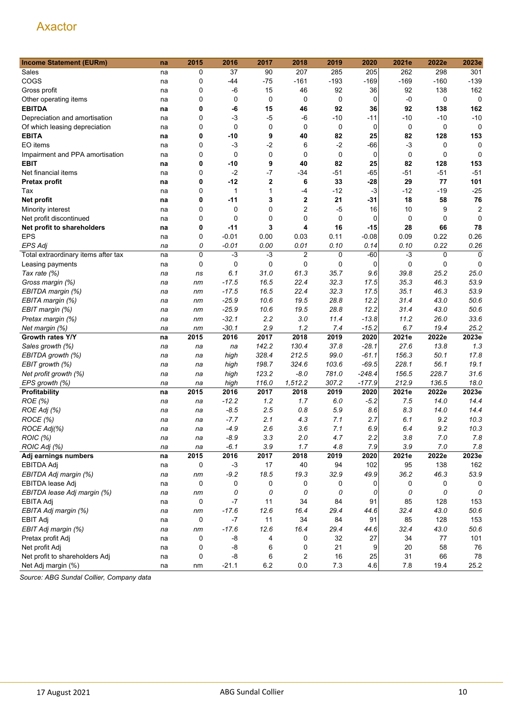| <b>Income Statement (EURm)</b>      | na | 2015        | 2016        | 2017             | 2018                   | 2019        | 2020          | 2021e        | 2022e   | 2023e               |
|-------------------------------------|----|-------------|-------------|------------------|------------------------|-------------|---------------|--------------|---------|---------------------|
| Sales                               | na | 0           | 37          | 90               | 207                    | 285         | 205           | 262          | 298     | 301                 |
| COGS                                | na | 0           | -44         | $-75$            | $-161$                 | $-193$      | $-169$        | $-169$       | $-160$  | $-139$              |
| Gross profit                        | na | 0           | $-6$        | 15               | 46                     | 92          | 36            | 92           | 138     | 162                 |
| Other operating items               | na | $\mathbf 0$ | 0           | 0                | 0                      | 0           | 0             | $-0$         | 0       | 0                   |
| <b>EBITDA</b>                       | na | 0           | -6          | 15               | 46                     | 92          | 36            | 92           | 138     | 162                 |
| Depreciation and amortisation       | na | 0           | -3          | $-5$             | -6                     | $-10$       | -11           | $-10$        | $-10$   | $-10$               |
| Of which leasing depreciation       | na | 0           | $\mathbf 0$ | 0                | 0                      | 0           | 0             | 0            | 0       | 0                   |
| <b>EBITA</b>                        | na | 0           | -10         | 9                | 40                     | 82          | 25            | 82           | 128     | 153                 |
| EO items                            | na | $\mathbf 0$ | $-3$        | $-2$             | 6                      | $-2$        | $-66$         | -3           | 0       | 0                   |
| Impairment and PPA amortisation     | na | 0           | 0           | 0                | $\mathbf 0$            | $\mathbf 0$ | $\mathbf 0$   | 0            | 0       | $\mathbf 0$         |
| <b>EBIT</b>                         | na | 0           | -10         | 9                | 40                     | 82          | 25            | 82           | 128     | 153                 |
| Net financial items                 | na | 0           | $-2$        | $-7$             | $-34$                  | $-51$       | -65           | $-51$        | $-51$   | $-51$               |
| Pretax profit                       | na | 0           | $-12$       | $\boldsymbol{2}$ | 6                      | 33          | $-28$         | 29           | 77      | 101                 |
| Tax                                 | na | $\mathbf 0$ | 1           | 1                | -4                     | $-12$       | $-3$          | -12          | $-19$   | $-25$               |
| Net profit                          | na | 0           | -11         | 3                | $\mathbf 2$            | 21          | $-31$         | 18           | 58      | 76                  |
| Minority interest                   | na | 0           | 0           | 0                | 2                      | $-5$        | 16            | 10           | 9       | $\overline{2}$      |
| Net profit discontinued             |    | 0           | 0           | 0                | 0                      | 0           | 0             | 0            | 0       | $\Omega$            |
| Net profit to shareholders          | na | 0           | $-11$       | 3                | 4                      | 16          | -15           | 28           | 66      | 78                  |
| <b>EPS</b>                          | na | 0           | $-0.01$     | 0.00             | 0.03                   | 0.11        | $-0.08$       | 0.09         | 0.22    | 0.26                |
|                                     | na |             | $-0.01$     | 0.00             |                        | 0.10        |               |              | 0.22    |                     |
| <b>EPS Adj</b>                      | na | 0<br>0      | $-3$        | $-3$             | 0.01<br>$\overline{2}$ |             | 0.14<br>$-60$ | 0.10<br>$-3$ |         | 0.26<br>$\mathbf 0$ |
| Total extraordinary items after tax | na |             |             |                  |                        | 0           |               |              | 0       |                     |
| Leasing payments                    | na | 0           | 0           | 0                | 0                      | 0           | 0             | 0            | 0       | $\mathbf 0$         |
| Tax rate (%)                        | na | ns          | 6.1         | 31.0             | 61.3                   | 35.7        | 9.6           | 39.8         | 25.2    | 25.0                |
| Gross margin (%)                    | na | nm          | $-17.5$     | 16.5             | 22.4                   | 32.3        | 17.5          | 35.3         | 46.3    | 53.9                |
| EBITDA margin (%)                   | na | nm          | $-17.5$     | 16.5             | 22.4                   | 32.3        | 17.5          | 35.1         | 46.3    | 53.9                |
| EBITA margin (%)                    | na | nm          | $-25.9$     | 10.6             | 19.5                   | 28.8        | 12.2          | 31.4         | 43.0    | 50.6                |
| EBIT margin (%)                     | na | nm          | $-25.9$     | 10.6             | 19.5                   | 28.8        | 12.2          | 31.4         | 43.0    | 50.6                |
| Pretax margin (%)                   | na | nm          | $-32.1$     | 2.2              | 3.0                    | 11.4        | $-13.8$       | 11.2         | 26.0    | 33.6                |
| Net margin (%)                      | na | nm          | $-30.1$     | 2.9              | 1.2                    | 7.4         | $-15.2$       | 6.7          | 19.4    | 25.2                |
| Growth rates Y/Y                    | na | 2015        | 2016        | 2017             | 2018                   | 2019        | 2020          | 2021e        | 2022e   | 2023e               |
| Sales growth (%)                    | na | na          | na          | 142.2            | 130.4                  | 37.8        | $-28.1$       | 27.6         | 13.8    | 1.3                 |
| EBITDA growth (%)                   | na | na          | high        | 328.4            | 212.5                  | 99.0        | $-61.1$       | 156.3        | 50.1    | 17.8                |
| EBIT growth (%)                     | na | na          | high        | 198.7            | 324.6                  | 103.6       | $-69.5$       | 228.1        | 56.1    | 19.1                |
| Net profit growth (%)               | na | na          | high        | 123.2            | $-8.0$                 | 781.0       | $-248.4$      | 156.5        | 228.7   | 31.6                |
| EPS growth (%)                      | na | na          | high        | 116.0            | 1,512.2                | 307.2       | $-177.9$      | 212.9        | 136.5   | 18.0                |
| Profitability                       | na | 2015        | 2016        | 2017             | 2018                   | 2019        | 2020          | 2021e        | 2022e   | 2023e               |
| ROE (%)                             | na | na          | $-12.2$     | 1.2              | 1.7                    | 6.0         | $-5.2$        | 7.5          | 14.0    | 14.4                |
| ROE Adj (%)                         | na | na          | $-8.5$      | 2.5              | 0.8                    | 5.9         | 8.6           | 8.3          | 14.0    | 14.4                |
| ROCE (%)                            | na | na          | $-7.7$      | 2.1              | 4.3                    | 7.1         | 2.7           | 6.1          | 9.2     | 10.3                |
| ROCE Adj(%)                         | na | na          | $-4.9$      | 2.6              | 3.6                    | 7.1         | 6.9           | 6.4          | 9.2     | 10.3                |
| ROIC (%)                            | na | na          | $-8.9$      | 3.3              | 2.0                    | 4.7         | 2.2           | 3.8          | $7.0\,$ | 7.8                 |
| ROIC Adj (%)                        | na | na          | $-6.1$      | 3.9              | 1.7                    | 4.8         | 7.9           | 3.9          | 7.0     | 7.8                 |
| Adj earnings numbers                | na | 2015        | 2016        | 2017             | 2018                   | 2019        | 2020          | 2021e        | 2022e   | 2023e               |
| EBITDA Adj                          | na | 0           | $-3$        | 17               | 40                     | 94          | 102           | 95           | 138     | 162                 |
| EBITDA Adj margin (%)               | na | nm          | $-9.2$      | 18.5             | 19.3                   | 32.9        | 49.9          | 36.2         | 46.3    | 53.9                |
| EBITDA lease Adj                    | na | 0           | 0           | $\mathbf 0$      | 0                      | 0           | 0             | 0            | 0       | 0                   |
| EBITDA lease Adj margin (%)         | na | nm          | 0           | 0                | 0                      | 0           | 0             | 0            | 0       | 0                   |
| EBITA Adj                           | na | 0           | -7          | 11               | 34                     | 84          | 91            | 85           | 128     | 153                 |
| EBITA Adj margin (%)                | na | nm          | $-17.6$     | 12.6             | 16.4                   | 29.4        | 44.6          | 32.4         | 43.0    | 50.6                |
| <b>EBIT Adj</b>                     | na | 0           | $-7$        | 11               | 34                     | 84          | 91            | 85           | 128     | 153                 |
| EBIT Adj margin (%)                 | na | nm          | $-17.6$     | 12.6             | 16.4                   | 29.4        | 44.6          | 32.4         | 43.0    | 50.6                |
| Pretax profit Adj                   | na | 0           | -8          | 4                | 0                      | 32          | 27            | 34           | 77      | 101                 |
| Net profit Adj                      | na | 0           | -8          | 6                | 0                      | 21          | 9             | 20           | 58      | 76                  |
| Net profit to shareholders Adj      | na | 0           | -8          | 6                | 2                      | 16          | 25            | 31           | 66      | 78                  |
| Net Adj margin (%)                  | na | nm          | $-21.1$     | $6.2\,$          | $0.0\,$                | $7.3$       | 4.6           | $7.8\,$      | 19.4    | 25.2                |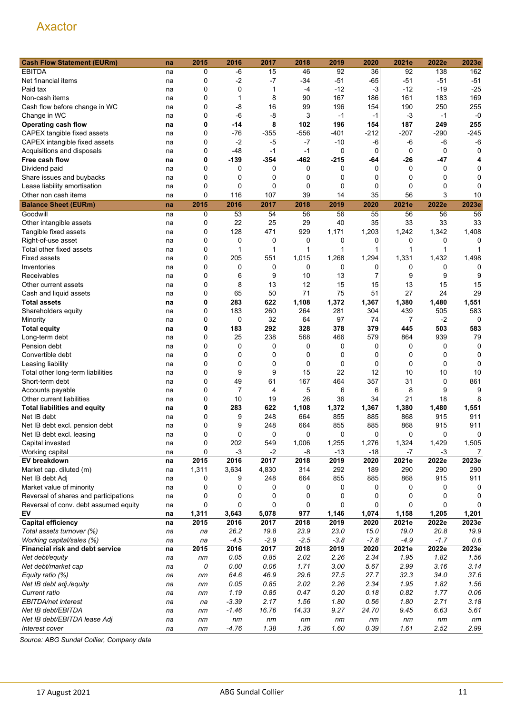| <b>Cash Flow Statement (EURm)</b>     | na | 2015        | 2016        | 2017         | 2018   | 2019     | 2020     | 2021e          | 2022e        | 2023e       |
|---------------------------------------|----|-------------|-------------|--------------|--------|----------|----------|----------------|--------------|-------------|
| <b>EBITDA</b>                         | na | 0           | -6          | 15           | 46     | 92       | 36       | 92             | 138          | 162         |
| Net financial items                   | na | 0           | $-2$        | $-7$         | -34    | $-51$    | $-65$    | -51            | $-51$        | $-51$       |
| Paid tax                              | na | 0           | 0           | 1            | $-4$   | $-12$    | $-3$     | -12            | $-19$        | $-25$       |
| Non-cash items                        | na | 0           | 1           | 8            | 90     | 167      | 186      | 161            | 183          | 169         |
| Cash flow before change in WC         | na | 0           | $-8$        | 16           | 99     | 196      | 154      | 190            | 250          | 255         |
| Change in WC                          | na | 0           | $-6$        | $-8$         | 3      | $-1$     | $-1$     | $-3$           | $-1$         | $-0$        |
| <b>Operating cash flow</b>            | na | 0           | -14         | 8            | 102    | 196      | 154      | 187            | 249          | 255         |
| CAPEX tangible fixed assets           | na | 0           | $-76$       | $-355$       | $-556$ | -401     | $-212$   | $-207$         | $-290$       | $-245$      |
| CAPEX intangible fixed assets         | na | 0           | $-2$        | $-5$         | $-7$   | $-10$    | -6       | -6             | $-6$         | $-6$        |
| Acquisitions and disposals            | na | 0           | $-48$       | $-1$         | $-1$   | 0        | 0        | 0              | 0            | 0           |
| Free cash flow                        | na | 0           | $-139$      | $-354$       | $-462$ | $-215$   | -64      | $-26$          | $-47$        | 4           |
| Dividend paid                         | na | 0           | 0           | 0            | 0      | 0        | $\Omega$ | 0              | 0            | 0           |
| Share issues and buybacks             | na | 0           | 0           | 0            | 0      | 0        | 0        | 0              | 0            | 0           |
| Lease liability amortisation          | na | 0           | 0           | 0            | 0      | 0        | 0        | 0              | 0            | 0           |
| Other non cash items                  | na | 0           | 116         | 107          | 39     | 14       | 35       | 56             | 3            | 10          |
| <b>Balance Sheet (EURm)</b>           | na | 2015        | 2016        | 2017         | 2018   | 2019     | 2020     | 2021e          | 2022e        | 2023e       |
| Goodwill                              |    | 0           | 53          | 54           | 56     | 56       | 55       | 56             | 56           | 56          |
|                                       | na |             | 22          | 25           | 29     | 40       | 35       | 33             | 33           | 33          |
| Other intangible assets               | na | 0           | 128         | 471          | 929    | 1,171    |          |                |              |             |
| Tangible fixed assets                 | na | 0           |             |              |        |          | 1,203    | 1,242          | 1,342        | 1,408       |
| Right-of-use asset                    | na | 0           | 0           | 0            | 0      | 0        | 0        | 0              | 0            | O           |
| Total other fixed assets              | na | 0           | 1           | $\mathbf{1}$ | 1      | 1        | 1        | $\mathbf{1}$   | $\mathbf{1}$ |             |
| <b>Fixed assets</b>                   | na | 0           | 205         | 551          | 1,015  | 1,268    | 1,294    | 1,331          | 1,432        | 1,498       |
| Inventories                           | na | 0           | 0           | 0            | 0      | 0        | $\Omega$ | 0              | 0            | 0           |
| Receivables                           | na | 0           | 6           | 9            | 10     | 13       | 7        | 9              | 9            | 9           |
| Other current assets                  | na | 0           | 8           | 13           | 12     | 15       | 15       | 13             | 15           | 15          |
| Cash and liquid assets                | na | $\mathbf 0$ | 65          | 50           | 71     | 75       | 51       | 27             | 24           | 29          |
| <b>Total assets</b>                   | na | 0           | 283         | 622          | 1,108  | 1,372    | 1,367    | 1,380          | 1,480        | 1,551       |
| Shareholders equity                   | na | 0           | 183         | 260          | 264    | 281      | 304      | 439            | 505          | 583         |
| Minority                              | na | 0           | $\mathbf 0$ | 32           | 64     | 97       | 74       | $\overline{7}$ | $-2$         | $\mathbf 0$ |
| <b>Total equity</b>                   | na | 0           | 183         | 292          | 328    | 378      | 379      | 445            | 503          | 583         |
| Long-term debt                        | na | 0           | 25          | 238          | 568    | 466      | 579      | 864            | 939          | 79          |
| Pension debt                          | na | 0           | 0           | 0            | 0      | 0        | 0        | 0              | 0            | $\mathbf 0$ |
| Convertible debt                      | na | 0           | 0           | 0            | 0      | 0        | 0        | 0              | 0            | 0           |
| Leasing liability                     | na | 0           | 0           | 0            | 0      | 0        | 0        | 0              | 0            | 0           |
| Total other long-term liabilities     | na | 0           | 9           | 9            | 15     | 22       | 12       | 10             | 10           | 10          |
| Short-term debt                       | na | 0           | 49          | 61           | 167    | 464      | 357      | 31             | 0            | 861         |
| Accounts payable                      | na | 0           | 7           | 4            | 5      | 6        | 6        | 8              | 9            | 9           |
| Other current liabilities             | na | 0           | 10          | 19           | 26     | 36       | 34       | 21             | 18           | 8           |
| <b>Total liabilities and equity</b>   | na | 0           | 283         | 622          | 1,108  | 1,372    | 1,367    | 1,380          | 1,480        | 1,551       |
| Net IB debt                           | na | 0           | 9           | 248          | 664    | 855      | 885      | 868            | 915          | 911         |
| Net IB debt excl. pension debt        | na | 0           | 9           | 248          | 664    | 855      | 885      | 868            | 915          | 911         |
| Net IB debt excl. leasing             | na | 0           | 0           | 0            | 0      | $\Omega$ | $\Omega$ | $\Omega$       | 0            | 0           |
| Capital invested                      | na | 0           | 202         | 549          | 1,006  | 1,255    | 1,276    | 1,324          | 1,429        | 1,505       |
| Working capital                       | na | 0           | $-3$        | $-2$         | -8     | $-13$    | $-18$    | $-7$           | $-3$         | 7           |
| EV breakdown                          | na | 2015        | 2016        | 2017         | 2018   | 2019     | 2020     | 2021e          | 2022e        | 2023e       |
| Market cap. diluted (m)               | na | 1,311       | 3,634       | 4,830        | 314    | 292      | 189      | 290            | 290          | 290         |
| Net IB debt Adj                       | na | 0           | 9           | 248          | 664    | 855      | 885      | 868            | 915          | 911         |
| Market value of minority              | na | 0           | 0           | 0            | 0      | 0        | 0        | 0              | 0            | 0           |
| Reversal of shares and participations | na | 0           | 0           | 0            | 0      | 0        | 0        | 0              | 0            | 0           |
| Reversal of conv. debt assumed equity | na | 0           | 0           | 0            | 0      | 0        | 0        | 0              | 0            | 0           |
| EV                                    | na | 1,311       | 3,643       | 5,078        | 977    | 1,146    | 1,074    | 1,158          | 1,205        | 1,201       |
| <b>Capital efficiency</b>             | na | 2015        | 2016        | 2017         | 2018   | 2019     | 2020     | 2021e          | 2022e        | 2023e       |
| Total assets turnover (%)             | na | na          | 26.2        | 19.8         | 23.9   | 23.0     | 15.0     | 19.0           | 20.8         | 19.9        |
| Working capital/sales (%)             | na | na          | $-4.5$      | $-2.9$       | $-2.5$ | $-3.8$   | $-7.8$   | $-4.9$         | $-1.7$       | 0.6         |
| Financial risk and debt service       | na | 2015        | 2016        | 2017         | 2018   | 2019     | 2020     | 2021e          | 2022e        | 2023e       |
| Net debt/equity                       | na | nm          | 0.05        | 0.85         | 2.02   | 2.26     | 2.34     | 1.95           | 1.82         | 1.56        |
| Net debt/market cap                   | na | 0           | 0.00        | 0.06         | 1.71   | 3.00     | 5.67     | 2.99           | 3.16         | 3.14        |
| Equity ratio (%)                      | na | nm          | 64.6        | 46.9         | 29.6   | 27.5     | 27.7     | 32.3           | 34.0         | 37.6        |
| Net IB debt adj./equity               | na | nm          | 0.05        | 0.85         | 2.02   | 2.26     | 2.34     | 1.95           | 1.82         | 1.56        |
| Current ratio                         | na | nm          | 1.19        | 0.85         | 0.47   | 0.20     | 0.18     | 0.82           | 1.77         | 0.06        |
| EBITDA/net interest                   | na | na          | $-3.39$     | 2.17         | 1.56   | 1.80     | 0.56     | 1.80           | 2.71         | 3.18        |
| Net IB debt/EBITDA                    | na | nm          | $-1.46$     | 16.76        | 14.33  | 9.27     | 24.70    | 9.45           | 6.63         | 5.61        |
| Net IB debt/EBITDA lease Adj          | na | nm          | nm          | nm           | nm     | nm       | nm       | nm             | nm           | nm          |
| Interest cover                        | na | nm          | $-4.76$     | 1.38         | 1.36   | 1.60     | 0.39     | 1.61           | 2.52         | 2.99        |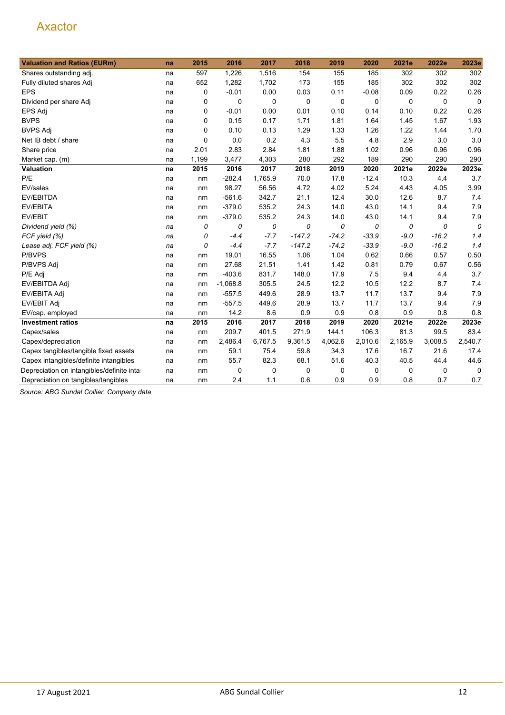| <b>Valuation and Ratios (EURm)</b>         | na | 2015     | 2016       | 2017    | 2018     | 2019        | 2020        | 2021e   | 2022e   | 2023e       |
|--------------------------------------------|----|----------|------------|---------|----------|-------------|-------------|---------|---------|-------------|
| Shares outstanding adj.                    | na | 597      | 1,226      | 1,516   | 154      | 155         | 185         | 302     | 302     | 302         |
| Fully diluted shares Adj                   | na | 652      | 1,282      | 1,702   | 173      | 155         | 185         | 302     | 302     | 302         |
| <b>EPS</b>                                 | na | 0        | $-0.01$    | 0.00    | 0.03     | 0.11        | $-0.08$     | 0.09    | 0.22    | 0.26        |
| Dividend per share Adj                     | na | 0        | 0          | 0       | 0        | $\mathbf 0$ | $\mathbf 0$ | 0       | 0       | $\mathbf 0$ |
| EPS Adj                                    | na | 0        | $-0.01$    | 0.00    | 0.01     | 0.10        | 0.14        | 0.10    | 0.22    | 0.26        |
| <b>BVPS</b>                                | na | 0        | 0.15       | 0.17    | 1.71     | 1.81        | 1.64        | 1.45    | 1.67    | 1.93        |
| <b>BVPS Adj</b>                            | na | 0        | 0.10       | 0.13    | 1.29     | 1.33        | 1.26        | 1.22    | 1.44    | 1.70        |
| Net IB debt / share                        | na | $\Omega$ | 0.0        | 0.2     | 4.3      | 5.5         | 4.8         | 2.9     | 3.0     | 3.0         |
| Share price                                | na | 2.01     | 2.83       | 2.84    | 1.81     | 1.88        | 1.02        | 0.96    | 0.96    | 0.96        |
| Market cap. (m)                            | na | 1,199    | 3,477      | 4,303   | 280      | 292         | 189         | 290     | 290     | 290         |
| Valuation                                  | na | 2015     | 2016       | 2017    | 2018     | 2019        | 2020        | 2021e   | 2022e   | 2023e       |
| P/E                                        | na | nm       | $-282.4$   | 1,765.9 | 70.0     | 17.8        | $-12.4$     | 10.3    | 4.4     | 3.7         |
| EV/sales                                   | na | nm       | 98.27      | 56.56   | 4.72     | 4.02        | 5.24        | 4.43    | 4.05    | 3.99        |
| EV/EBITDA                                  | na | nm       | $-561.6$   | 342.7   | 21.1     | 12.4        | 30.0        | 12.6    | 8.7     | 7.4         |
| <b>EV/EBITA</b>                            | na | nm       | $-379.0$   | 535.2   | 24.3     | 14.0        | 43.0        | 14.1    | 9.4     | 7.9         |
| EV/EBIT                                    | na | nm       | $-379.0$   | 535.2   | 24.3     | 14.0        | 43.0        | 14.1    | 9.4     | 7.9         |
| Dividend yield (%)                         | na | 0        | 0          | 0       | 0        | 0           | 0           | 0       | 0       | 0           |
| FCF yield (%)                              | na | 0        | $-4.4$     | $-7.7$  | $-147.2$ | $-74.2$     | $-33.9$     | $-9.0$  | $-16.2$ | 1.4         |
| Lease adj. FCF yield (%)                   | na | 0        | $-4.4$     | $-7.7$  | $-147.2$ | $-74.2$     | $-33.9$     | $-9.0$  | $-16.2$ | 1.4         |
| P/BVPS                                     | na | nm       | 19.01      | 16.55   | 1.06     | 1.04        | 0.62        | 0.66    | 0.57    | 0.50        |
| P/BVPS Adj                                 | na | nm       | 27.68      | 21.51   | 1.41     | 1.42        | 0.81        | 0.79    | 0.67    | 0.56        |
| P/E Adj                                    | na | nm       | $-403.6$   | 831.7   | 148.0    | 17.9        | 7.5         | 9.4     | 4.4     | 3.7         |
| EV/EBITDA Adj                              | na | nm       | $-1,068.8$ | 305.5   | 24.5     | 12.2        | 10.5        | 12.2    | 8.7     | 7.4         |
| EV/EBITA Adj                               | na | nm       | $-557.5$   | 449.6   | 28.9     | 13.7        | 11.7        | 13.7    | 9.4     | 7.9         |
| EV/EBIT Adj                                | na | nm       | $-557.5$   | 449.6   | 28.9     | 13.7        | 11.7        | 13.7    | 9.4     | 7.9         |
| EV/cap. employed                           | na | nm       | 14.2       | 8.6     | 0.9      | 0.9         | 0.8         | 0.9     | 0.8     | 0.8         |
| <b>Investment ratios</b>                   | na | 2015     | 2016       | 2017    | 2018     | 2019        | 2020        | 2021e   | 2022e   | 2023e       |
| Capex/sales                                | na | nm       | 209.7      | 401.5   | 271.9    | 144.1       | 106.3       | 81.3    | 99.5    | 83.4        |
| Capex/depreciation                         | na | nm       | 2,486.4    | 6,767.5 | 9,361.5  | 4,062.6     | 2,010.6     | 2,165.9 | 3,008.5 | 2,540.7     |
| Capex tangibles/tangible fixed assets      | na | nm       | 59.1       | 75.4    | 59.8     | 34.3        | 17.6        | 16.7    | 21.6    | 17.4        |
| Capex intangibles/definite intangibles     | na | nm       | 55.7       | 82.3    | 68.1     | 51.6        | 40.3        | 40.5    | 44.4    | 44.6        |
| Depreciation on intangibles/definite intar | na | nm       | 0          | 0       | 0        | 0           | 0           | 0       | 0       | 0           |
| Depreciation on tangibles/tangibles        | na | nm       | 2.4        | 1.1     | 0.6      | 0.9         | 0.9         | 0.8     | 0.7     | 0.7         |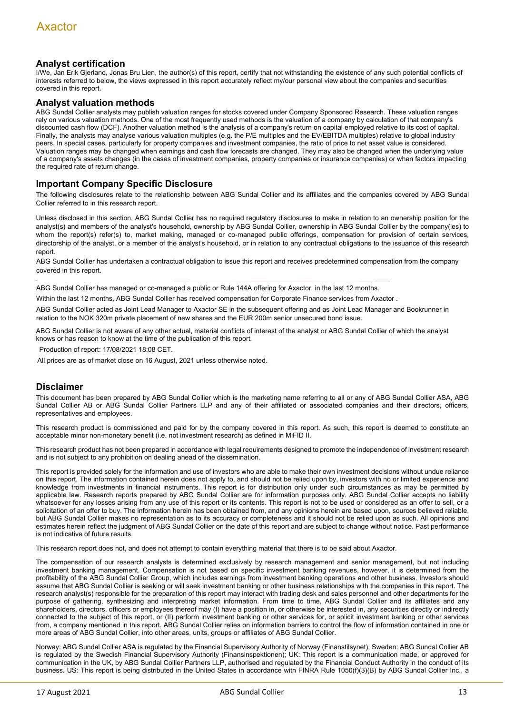#### **Analyst certification**

I/We, Jan Erik Gjerland, Jonas Bru Lien, the author(s) of this report, certify that not withstanding the existence of any such potential conflicts of interests referred to below, the views expressed in this report accurately reflect my/our personal view about the companies and securities covered in this report.

#### **Analyst valuation methods**

ABG Sundal Collier analysts may publish valuation ranges for stocks covered under Company Sponsored Research. These valuation ranges rely on various valuation methods. One of the most frequently used methods is the valuation of a company by calculation of that company's discounted cash flow (DCF). Another valuation method is the analysis of a company's return on capital employed relative to its cost of capital. Finally, the analysts may analyse various valuation multiples (e.g. the P/E multiples and the EV/EBITDA multiples) relative to global industry peers. In special cases, particularly for property companies and investment companies, the ratio of price to net asset value is considered. Valuation ranges may be changed when earnings and cash flow forecasts are changed. They may also be changed when the underlying value of a company's assets changes (in the cases of investment companies, property companies or insurance companies) or when factors impacting the required rate of return change.

#### **Important Company Specific Disclosure**

The following disclosures relate to the relationship between ABG Sundal Collier and its affiliates and the companies covered by ABG Sundal Collier referred to in this research report.

Unless disclosed in this section, ABG Sundal Collier has no required regulatory disclosures to make in relation to an ownership position for the analyst(s) and members of the analyst's household, ownership by ABG Sundal Collier, ownership in ABG Sundal Collier by the company(ies) to whom the report(s) refer(s) to, market making, managed or co-managed public offerings, compensation for provision of certain services, directorship of the analyst, or a member of the analyst's household, or in relation to any contractual obligations to the issuance of this research report.

ABG Sundal Collier has undertaken a contractual obligation to issue this report and receives predetermined compensation from the company covered in this report.

ABG Sundal Collier has managed or co-managed a public or Rule 144A offering for Axactor in the last 12 months.

Within the last 12 months, ABG Sundal Collier has received compensation for Corporate Finance services from Axactor .

ABG Sundal Collier acted as Joint Lead Manager to Axactor SE in the subsequent offering and as Joint Lead Manager and Bookrunner in relation to the NOK 320m private placement of new shares and the EUR 200m senior unsecured bond issue.

ABG Sundal Collier is not aware of any other actual, material conflicts of interest of the analyst or ABG Sundal Collier of which the analyst knows or has reason to know at the time of the publication of this report.

Production of report: 17/08/2021 18:08 CET.

All prices are as of market close on 16 August, 2021 unless otherwise noted.

#### **Disclaimer**

This document has been prepared by ABG Sundal Collier which is the marketing name referring to all or any of ABG Sundal Collier ASA, ABG Sundal Collier AB or ABG Sundal Collier Partners LLP and any of their affiliated or associated companies and their directors, officers, representatives and employees.

This research product is commissioned and paid for by the company covered in this report. As such, this report is deemed to constitute an acceptable minor non-monetary benefit (i.e. not investment research) as defined in MiFID II.

This research product has not been prepared in accordance with legal requirements designed to promote the independence of investment research and is not subject to any prohibition on dealing ahead of the dissemination.

This report is provided solely for the information and use of investors who are able to make their own investment decisions without undue reliance on this report. The information contained herein does not apply to, and should not be relied upon by, investors with no or limited experience and knowledge from investments in financial instruments. This report is for distribution only under such circumstances as may be permitted by applicable law. Research reports prepared by ABG Sundal Collier are for information purposes only. ABG Sundal Collier accepts no liability whatsoever for any losses arising from any use of this report or its contents. This report is not to be used or considered as an offer to sell, or a solicitation of an offer to buy. The information herein has been obtained from, and any opinions herein are based upon, sources believed reliable, but ABG Sundal Collier makes no representation as to its accuracy or completeness and it should not be relied upon as such. All opinions and estimates herein reflect the judgment of ABG Sundal Collier on the date of this report and are subject to change without notice. Past performance is not indicative of future results.

This research report does not, and does not attempt to contain everything material that there is to be said about Axactor.

The compensation of our research analysts is determined exclusively by research management and senior management, but not including investment banking management. Compensation is not based on specific investment banking revenues, however, it is determined from the profitability of the ABG Sundal Collier Group, which includes earnings from investment banking operations and other business. Investors should assume that ABG Sundal Collier is seeking or will seek investment banking or other business relationships with the companies in this report. The research analyst(s) responsible for the preparation of this report may interact with trading desk and sales personnel and other departments for the purpose of gathering, synthesizing and interpreting market information. From time to time, ABG Sundal Collier and its affiliates and any shareholders, directors, officers or employees thereof may (I) have a position in, or otherwise be interested in, any securities directly or indirectly connected to the subject of this report, or (II) perform investment banking or other services for, or solicit investment banking or other services from, a company mentioned in this report. ABG Sundal Collier relies on information barriers to control the flow of information contained in one or more areas of ABG Sundal Collier, into other areas, units, groups or affiliates of ABG Sundal Collier.

Norway: ABG Sundal Collier ASA is regulated by the Financial Supervisory Authority of Norway (Finanstilsynet); Sweden: ABG Sundal Collier AB is regulated by the Swedish Financial Supervisory Authority (Finansinspektionen); UK: This report is a communication made, or approved for communication in the UK, by ABG Sundal Collier Partners LLP, authorised and regulated by the Financial Conduct Authority in the conduct of its business. US: This report is being distributed in the United States in accordance with FINRA Rule 1050(f)(3)(B) by ABG Sundal Collier Inc., a